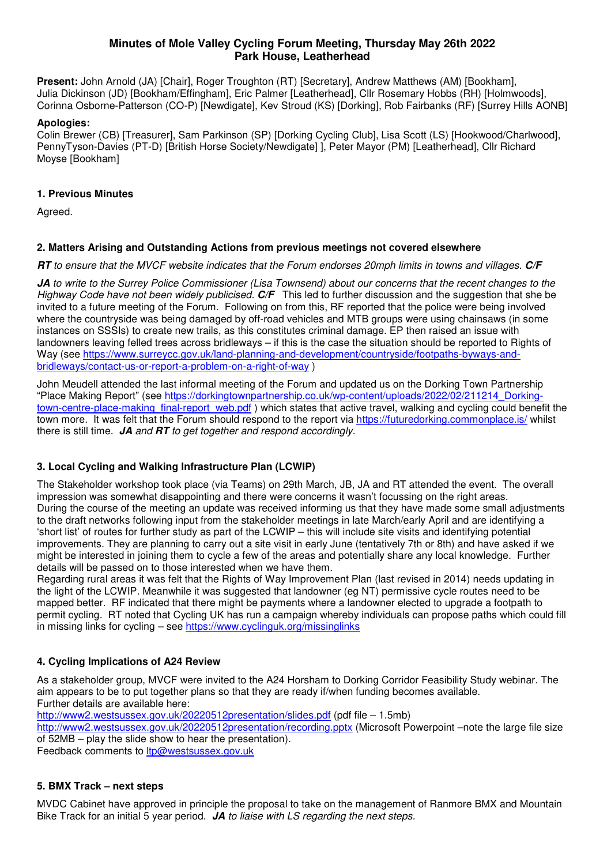## **Minutes of Mole Valley Cycling Forum Meeting, Thursday May 26th 2022 Park House, Leatherhead**

**Present:** John Arnold (JA) [Chair], Roger Troughton (RT) [Secretary], Andrew Matthews (AM) [Bookham], Julia Dickinson (JD) [Bookham/Effingham], Eric Palmer [Leatherhead], Cllr Rosemary Hobbs (RH) [Holmwoods], Corinna Osborne-Patterson (CO-P) [Newdigate], Kev Stroud (KS) [Dorking], Rob Fairbanks (RF) [Surrey Hills AONB]

### **Apologies:**

Colin Brewer (CB) [Treasurer], Sam Parkinson (SP) [Dorking Cycling Club], Lisa Scott (LS) [Hookwood/Charlwood], PennyTyson-Davies (PT-D) [British Horse Society/Newdigate] ], Peter Mayor (PM) [Leatherhead], Cllr Richard Moyse [Bookham]

### **1. Previous Minutes**

Agreed.

## **2. Matters Arising and Outstanding Actions from previous meetings not covered elsewhere**

**RT** to ensure that the MVCF website indicates that the Forum endorses 20mph limits in towns and villages. **C/F**

**JA** to write to the Surrey Police Commissioner (Lisa Townsend) about our concerns that the recent changes to the Highway Code have not been widely publicised. **C/F** This led to further discussion and the suggestion that she be invited to a future meeting of the Forum. Following on from this, RF reported that the police were being involved where the countryside was being damaged by off-road vehicles and MTB groups were using chainsaws (in some instances on SSSIs) to create new trails, as this constitutes criminal damage. EP then raised an issue with landowners leaving felled trees across bridleways – if this is the case the situation should be reported to Rights of Way (see https://www.surreycc.gov.uk/land-planning-and-development/countryside/footpaths-byways-andbridleways/contact-us-or-report-a-problem-on-a-right-of-way )

John Meudell attended the last informal meeting of the Forum and updated us on the Dorking Town Partnership "Place Making Report" (see https://dorkingtownpartnership.co.uk/wp-content/uploads/2022/02/211214\_Dorkingtown-centre-place-making final-report web.pdf ) which states that active travel, walking and cycling could benefit the town more. It was felt that the Forum should respond to the report via https://futuredorking.commonplace.is/ whilst there is still time. **JA** and **RT** to get together and respond accordingly.

## **3. Local Cycling and Walking Infrastructure Plan (LCWIP)**

The Stakeholder workshop took place (via Teams) on 29th March, JB, JA and RT attended the event. The overall impression was somewhat disappointing and there were concerns it wasn't focussing on the right areas. During the course of the meeting an update was received informing us that they have made some small adjustments to the draft networks following input from the stakeholder meetings in late March/early April and are identifying a 'short list' of routes for further study as part of the LCWIP – this will include site visits and identifying potential improvements. They are planning to carry out a site visit in early June (tentatively 7th or 8th) and have asked if we might be interested in joining them to cycle a few of the areas and potentially share any local knowledge. Further details will be passed on to those interested when we have them.

Regarding rural areas it was felt that the Rights of Way Improvement Plan (last revised in 2014) needs updating in the light of the LCWIP. Meanwhile it was suggested that landowner (eg NT) permissive cycle routes need to be mapped better. RF indicated that there might be payments where a landowner elected to upgrade a footpath to permit cycling. RT noted that Cycling UK has run a campaign whereby individuals can propose paths which could fill in missing links for cycling – see https://www.cyclinguk.org/missinglinks

## **4. Cycling Implications of A24 Review**

As a stakeholder group, MVCF were invited to the A24 Horsham to Dorking Corridor Feasibility Study webinar. The aim appears to be to put together plans so that they are ready if/when funding becomes available. Further details are available here:

http://www2.westsussex.gov.uk/20220512presentation/slides.pdf (pdf file – 1.5mb)

http://www2.westsussex.gov.uk/20220512presentation/recording.pptx (Microsoft Powerpoint –note the large file size of 52MB – play the slide show to hear the presentation).

Feedback comments to *ltp@westsussex.gov.uk* 

## **5. BMX Track – next steps**

MVDC Cabinet have approved in principle the proposal to take on the management of Ranmore BMX and Mountain Bike Track for an initial 5 year period. **JA** to liaise with LS regarding the next steps.